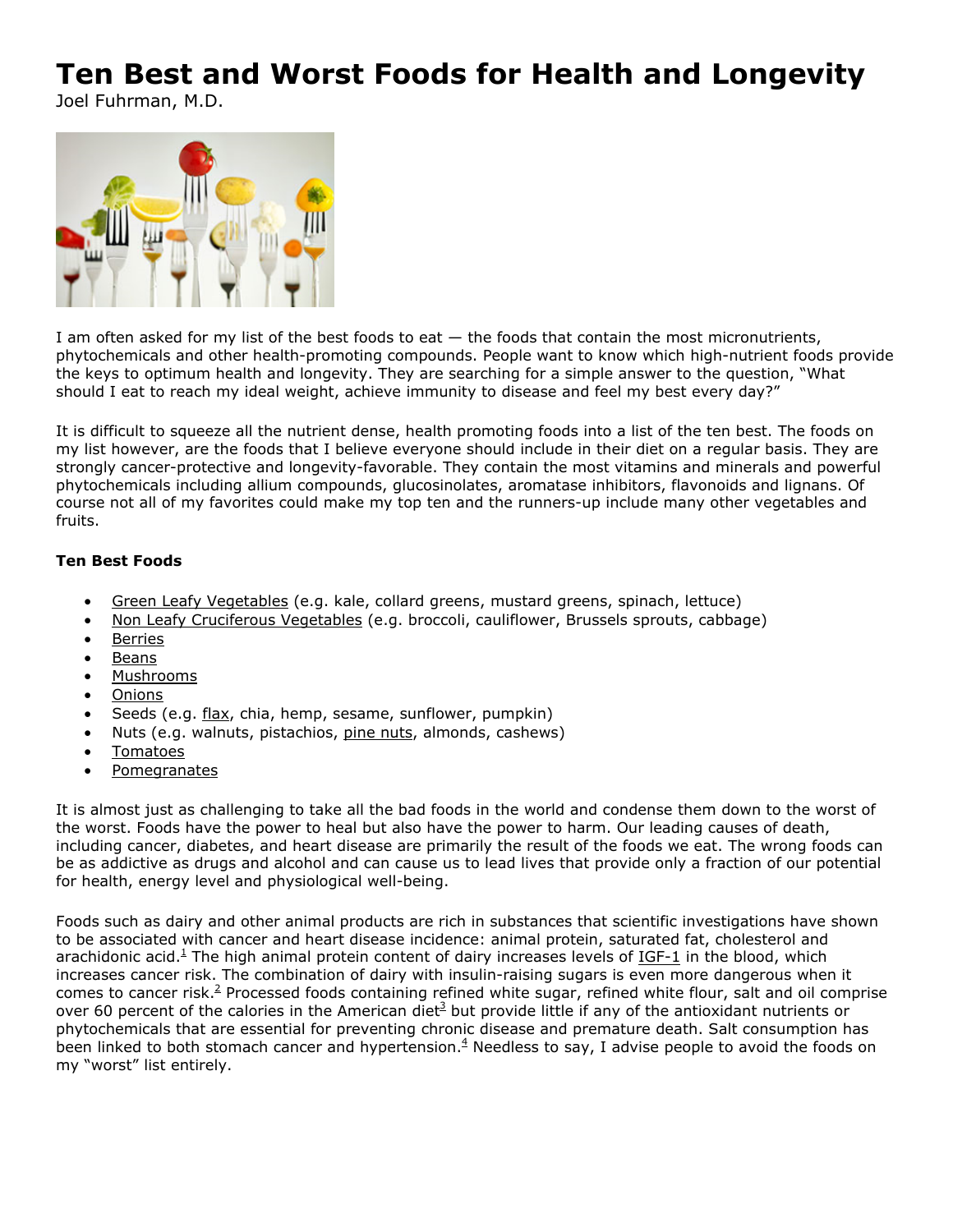## **Ten Best and Worst Foods for Health and Longevity**

Joel Fuhrman, M.D.



I am often asked for my list of the best foods to eat — the foods that contain the most micronutrients, phytochemicals and other health-promoting compounds. People want to know which high-nutrient foods provide the keys to optimum health and longevity. They are searching for a simple answer to the question, "What should I eat to reach my ideal weight, achieve immunity to disease and feel my best every day?"

It is difficult to squeeze all the nutrient dense, health promoting foods into a list of the ten best. The foods on my list however, are the foods that I believe everyone should include in their diet on a regular basis. They are strongly cancer-protective and longevity-favorable. They contain the most vitamins and minerals and powerful phytochemicals including allium compounds, glucosinolates, aromatase inhibitors, flavonoids and lignans. Of course not all of my favorites could make my top ten and the runners-up include many other vegetables and fruits.

## **Ten Best Foods**

- Green Leafy Vegetables (e.g. kale, collard greens, mustard greens, spinach, lettuce)
- Non Leafy Cruciferous Vegetables (e.g. broccoli, cauliflower, Brussels sprouts, cabbage)
- **•** Berries
- Beans
- Mushrooms
- Onions
- Seeds (e.g. flax, chia, hemp, sesame, sunflower, pumpkin)
- Nuts (e.g. walnuts, pistachios, pine nuts, almonds, cashews)
- Tomatoes
- **Pomegranates**

It is almost just as challenging to take all the bad foods in the world and condense them down to the worst of the worst. Foods have the power to heal but also have the power to harm. Our leading causes of death, including cancer, diabetes, and heart disease are primarily the result of the foods we eat. The wrong foods can be as addictive as drugs and alcohol and can cause us to lead lives that provide only a fraction of our potential for health, energy level and physiological well-being.

Foods such as dairy and other animal products are rich in substances that scientific investigations have shown to be associated with cancer and heart disease incidence: animal protein, saturated fat, cholesterol and arachidonic acid.<sup>1</sup> The high animal protein content of dairy increases levels of IGF-1 in the blood, which increases cancer risk. The combination of dairy with insulin-raising sugars is even more dangerous when it comes to cancer risk.<sup>2</sup> Processed foods containing refined white sugar, refined white flour, salt and oil comprise over 60 percent of the calories in the American diet<sup>3</sup> but provide little if any of the antioxidant nutrients or phytochemicals that are essential for preventing chronic disease and premature death. Salt consumption has been linked to both stomach cancer and hypertension.<sup>4</sup> Needless to say, I advise people to avoid the foods on my "worst" list entirely.